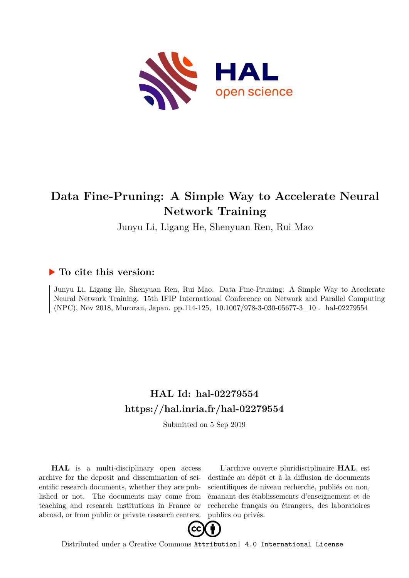

# **Data Fine-Pruning: A Simple Way to Accelerate Neural Network Training**

Junyu Li, Ligang He, Shenyuan Ren, Rui Mao

## **To cite this version:**

Junyu Li, Ligang He, Shenyuan Ren, Rui Mao. Data Fine-Pruning: A Simple Way to Accelerate Neural Network Training. 15th IFIP International Conference on Network and Parallel Computing (NPC), Nov 2018, Muroran, Japan. pp.114-125, 10.1007/978-3-030-05677-3\_10. hal-02279554

# **HAL Id: hal-02279554 <https://hal.inria.fr/hal-02279554>**

Submitted on 5 Sep 2019

**HAL** is a multi-disciplinary open access archive for the deposit and dissemination of scientific research documents, whether they are published or not. The documents may come from teaching and research institutions in France or abroad, or from public or private research centers.

L'archive ouverte pluridisciplinaire **HAL**, est destinée au dépôt et à la diffusion de documents scientifiques de niveau recherche, publiés ou non, émanant des établissements d'enseignement et de recherche français ou étrangers, des laboratoires publics ou privés.



Distributed under a Creative Commons [Attribution| 4.0 International License](http://creativecommons.org/licenses/by/4.0/)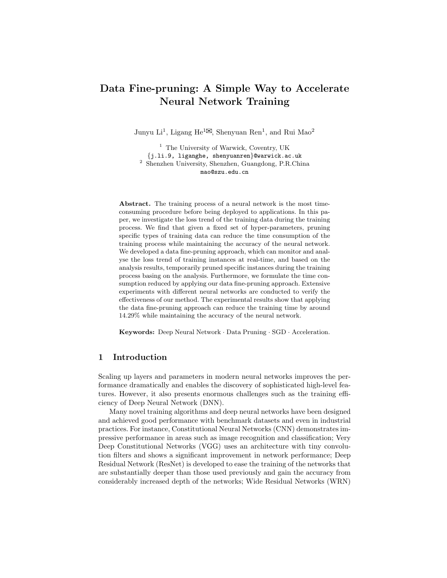## Data Fine-pruning: A Simple Way to Accelerate Neural Network Training

Junyu Li<sup>1</sup>, Ligang He<sup>1 $\boxtimes$ </sup>, Shenyuan Ren<sup>1</sup>, and Rui Mao<sup>2</sup>

<sup>1</sup> The University of Warwick, Coventry, UK {j.li.9, liganghe, shenyuanren}@warwick.ac.uk <sup>2</sup> Shenzhen University, Shenzhen, Guangdong, P.R.China mao@szu.edu.cn

Abstract. The training process of a neural network is the most timeconsuming procedure before being deployed to applications. In this paper, we investigate the loss trend of the training data during the training process. We find that given a fixed set of hyper-parameters, pruning specific types of training data can reduce the time consumption of the training process while maintaining the accuracy of the neural network. We developed a data fine-pruning approach, which can monitor and analyse the loss trend of training instances at real-time, and based on the analysis results, temporarily pruned specific instances during the training process basing on the analysis. Furthermore, we formulate the time consumption reduced by applying our data fine-pruning approach. Extensive experiments with different neural networks are conducted to verify the effectiveness of our method. The experimental results show that applying the data fine-pruning approach can reduce the training time by around 14.29% while maintaining the accuracy of the neural network.

Keywords: Deep Neural Network · Data Pruning · SGD · Acceleration.

## 1 Introduction

Scaling up layers and parameters in modern neural networks improves the performance dramatically and enables the discovery of sophisticated high-level features. However, it also presents enormous challenges such as the training efficiency of Deep Neural Network (DNN).

Many novel training algorithms and deep neural networks have been designed and achieved good performance with benchmark datasets and even in industrial practices. For instance, Constitutional Neural Networks (CNN) demonstrates impressive performance in areas such as image recognition and classification; Very Deep Constitutional Networks (VGG) uses an architecture with tiny convolution filters and shows a significant improvement in network performance; Deep Residual Network (ResNet) is developed to ease the training of the networks that are substantially deeper than those used previously and gain the accuracy from considerably increased depth of the networks; Wide Residual Networks (WRN)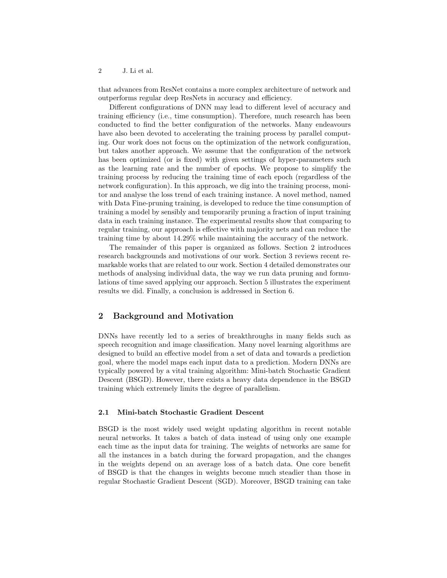that advances from ResNet contains a more complex architecture of network and outperforms regular deep ResNets in accuracy and efficiency.

Different configurations of DNN may lead to different level of accuracy and training efficiency (i.e., time consumption). Therefore, much research has been conducted to find the better configuration of the networks. Many endeavours have also been devoted to accelerating the training process by parallel computing. Our work does not focus on the optimization of the network configuration, but takes another approach. We assume that the configuration of the network has been optimized (or is fixed) with given settings of hyper-parameters such as the learning rate and the number of epochs. We propose to simplify the training process by reducing the training time of each epoch (regardless of the network configuration). In this approach, we dig into the training process, monitor and analyse the loss trend of each training instance. A novel method, named with Data Fine-pruning training, is developed to reduce the time consumption of training a model by sensibly and temporarily pruning a fraction of input training data in each training instance. The experimental results show that comparing to regular training, our approach is effective with majority nets and can reduce the training time by about 14.29% while maintaining the accuracy of the network.

The remainder of this paper is organized as follows. Section 2 introduces research backgrounds and motivations of our work. Section 3 reviews recent remarkable works that are related to our work. Section 4 detailed demonstrates our methods of analysing individual data, the way we run data pruning and formulations of time saved applying our approach. Section 5 illustrates the experiment results we did. Finally, a conclusion is addressed in Section 6.

## 2 Background and Motivation

DNNs have recently led to a series of breakthroughs in many fields such as speech recognition and image classification. Many novel learning algorithms are designed to build an effective model from a set of data and towards a prediction goal, where the model maps each input data to a prediction. Modern DNNs are typically powered by a vital training algorithm: Mini-batch Stochastic Gradient Descent (BSGD). However, there exists a heavy data dependence in the BSGD training which extremely limits the degree of parallelism.

## 2.1 Mini-batch Stochastic Gradient Descent

BSGD is the most widely used weight updating algorithm in recent notable neural networks. It takes a batch of data instead of using only one example each time as the input data for training. The weights of networks are same for all the instances in a batch during the forward propagation, and the changes in the weights depend on an average loss of a batch data. One core benefit of BSGD is that the changes in weights become much steadier than those in regular Stochastic Gradient Descent (SGD). Moreover, BSGD training can take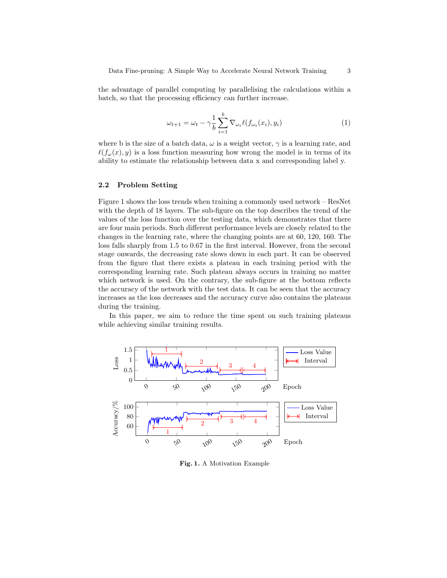the advantage of parallel computing by parallelising the calculations within a batch, so that the processing efficiency can further increase.

$$
\omega_{t+1} = \omega_t - \gamma \frac{1}{b} \sum_{i=1}^{b} \nabla_{\omega_t} \ell(f_{\omega_t}(x_i), y_i)
$$
\n(1)

where b is the size of a batch data,  $\omega$  is a weight vector,  $\gamma$  is a learning rate, and  $\ell(f_{\omega}(x), y)$  is a loss function measuring how wrong the model is in terms of its ability to estimate the relationship between data x and corresponding label y.

## 2.2 Problem Setting

Figure 1 shows the loss trends when training a commonly used network – ResNet with the depth of 18 layers. The sub-figure on the top describes the trend of the values of the loss function over the testing data, which demonstrates that there are four main periods. Such different performance levels are closely related to the changes in the learning rate, where the changing points are at 60, 120, 160. The loss falls sharply from 1.5 to 0.67 in the first interval. However, from the second stage onwards, the decreasing rate slows down in each part. It can be observed from the figure that there exists a plateau in each training period with the corresponding learning rate. Such plateau always occurs in training no matter which network is used. On the contrary, the sub-figure at the bottom reflects the accuracy of the network with the test data. It can be seen that the accuracy increases as the loss decreases and the accuracy curve also contains the plateaus during the training.

In this paper, we aim to reduce the time spent on such training plateaus while achieving similar training results.



Fig. 1. A Motivation Example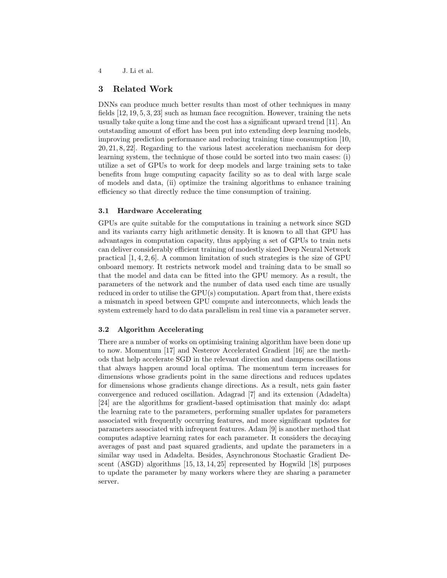## 3 Related Work

DNNs can produce much better results than most of other techniques in many fields [12, 19, 5, 3, 23] such as human face recognition. However, training the nets usually take quite a long time and the cost has a significant upward trend [11]. An outstanding amount of effort has been put into extending deep learning models, improving prediction performance and reducing training time consumption [10, 20, 21, 8, 22]. Regarding to the various latest acceleration mechanism for deep learning system, the technique of those could be sorted into two main cases: (i) utilize a set of GPUs to work for deep models and large training sets to take benefits from huge computing capacity facility so as to deal with large scale of models and data, (ii) optimize the training algorithms to enhance training efficiency so that directly reduce the time consumption of training.

### 3.1 Hardware Accelerating

GPUs are quite suitable for the computations in training a network since SGD and its variants carry high arithmetic density. It is known to all that GPU has advantages in computation capacity, thus applying a set of GPUs to train nets can deliver considerably efficient training of modestly sized Deep Neural Network practical [1, 4, 2, 6]. A common limitation of such strategies is the size of GPU onboard memory. It restricts network model and training data to be small so that the model and data can be fitted into the GPU memory. As a result, the parameters of the network and the number of data used each time are usually reduced in order to utilise the GPU(s) computation. Apart from that, there exists a mismatch in speed between GPU compute and interconnects, which leads the system extremely hard to do data parallelism in real time via a parameter server.

## 3.2 Algorithm Accelerating

There are a number of works on optimising training algorithm have been done up to now. Momentum [17] and Nesterov Accelerated Gradient [16] are the methods that help accelerate SGD in the relevant direction and dampens oscillations that always happen around local optima. The momentum term increases for dimensions whose gradients point in the same directions and reduces updates for dimensions whose gradients change directions. As a result, nets gain faster convergence and reduced oscillation. Adagrad [7] and its extension (Adadelta) [24] are the algorithms for gradient-based optimisation that mainly do: adapt the learning rate to the parameters, performing smaller updates for parameters associated with frequently occurring features, and more significant updates for parameters associated with infrequent features. Adam [9] is another method that computes adaptive learning rates for each parameter. It considers the decaying averages of past and past squared gradients, and update the parameters in a similar way used in Adadelta. Besides, Asynchronous Stochastic Gradient Descent (ASGD) algorithms [15, 13, 14, 25] represented by Hogwild [18] purposes to update the parameter by many workers where they are sharing a parameter server.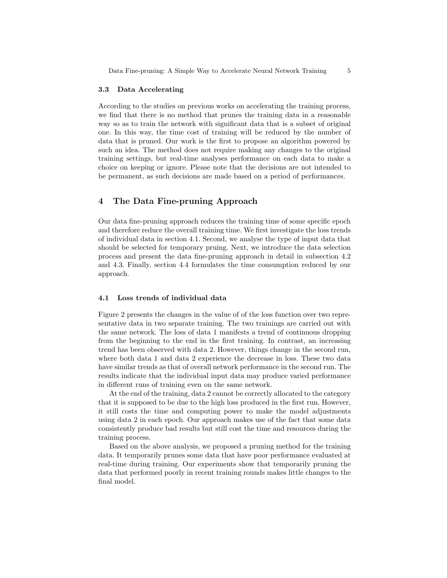#### 3.3 Data Accelerating

According to the studies on previous works on accelerating the training process, we find that there is no method that prunes the training data in a reasonable way so as to train the network with significant data that is a subset of original one. In this way, the time cost of training will be reduced by the number of data that is pruned. Our work is the first to propose an algorithm powered by such an idea. The method does not require making any changes to the original training settings, but real-time analyses performance on each data to make a choice on keeping or ignore. Please note that the decisions are not intended to be permanent, as such decisions are made based on a period of performances.

## 4 The Data Fine-pruning Approach

Our data fine-pruning approach reduces the training time of some specific epoch and therefore reduce the overall training time. We first investigate the loss trends of individual data in section 4.1. Second, we analyse the type of input data that should be selected for temporary pruing. Next, we introduce the data selection process and present the data fine-pruning approach in detail in subsection 4.2 and 4.3. Finally, section 4.4 formulates the time consumption reduced by our approach.

#### 4.1 Loss trends of individual data

Figure 2 presents the changes in the value of of the loss function over two representative data in two separate training. The two trainings are carried out with the same network. The loss of data 1 manifests a trend of continuous dropping from the beginning to the end in the first training. In contrast, an increasing trend has been observed with data 2. However, things change in the second run, where both data 1 and data 2 experience the decrease in loss. These two data have similar trends as that of overall network performance in the second run. The results indicate that the individual input data may produce varied performance in different runs of training even on the same network.

At the end of the training, data 2 cannot be correctly allocated to the category that it is supposed to be due to the high loss produced in the first run. However, it still costs the time and computing power to make the model adjustments using data 2 in each epoch. Our approach makes use of the fact that some data consistently produce bad results but still cost the time and resources during the training process.

Based on the above analysis, we proposed a pruning method for the training data. It temporarily prunes some data that have poor performance evaluated at real-time during training. Our experiments show that temporarily pruning the data that performed poorly in recent training rounds makes little changes to the final model.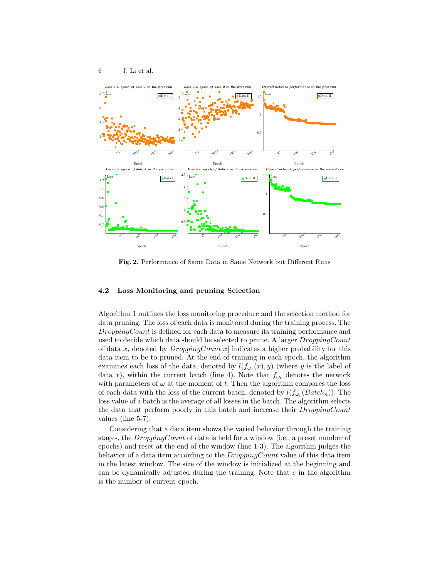

Fig. 2. Performance of Same Data in Same Network but Different Runs

#### 4.2 Loss Monitoring and pruning Selection

Algorithm 1 outlines the loss monitoring procedure and the selection method for data pruning. The loss of each data is monitored during the training process. The DroppingCount is defined for each data to measure its training performance and used to decide which data should be selected to prune. A larger  $DroppingCount$ of data x, denoted by  $DroppingCount[x]$  indicates a higher probability for this data item to be to pruned. At the end of training in each epoch, the algorithm examines each loss of the data, denoted by  $l(f_{\omega_t}(x), y)$  (where y is the label of data x), within the current batch (line 4). Note that  $f_{\omega_t}$  denotes the network with parameters of  $\omega$  at the moment of t. Then the algorithm compares the loss of each data with the loss of the current batch, denoted by  $l(f_{\omega_t}(Batch_n))$ . The loss value of a batch is the average of all losses in the batch. The algorithm selects the data that perform poorly in this batch and increase their *DroppingCount* values (line 5-7).

Considering that a data item shows the varied behavior through the training stages, the DroppingCount of data is held for a window (i.e., a preset number of epochs) and reset at the end of the window (line 1-3). The algorithm judges the behavior of a data item according to the *DroppingCount* value of this data item in the latest window. The size of the window is initialized at the beginning and can be dynamically adjusted during the training. Note that  $e$  in the algorithm is the number of current epoch.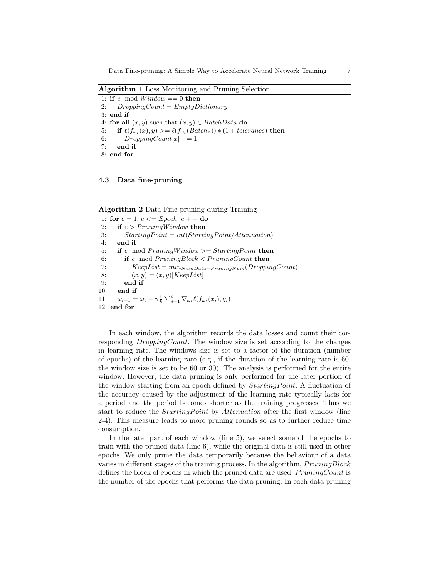Data Fine-pruning: A Simple Way to Accelerate Neural Network Training 7

Algorithm 1 Loss Monitoring and Pruning Selection

1: if e mod  $Window == 0$  then 2:  $DroppingCount = EmptyDictionary$ 3: end if 4: for all  $(x, y)$  such that  $(x, y) \in BatchData$  do 5: if  $\ell(f_{\omega_t}(x), y) >= \ell(f_{\omega_t}(Batch_n)) * (1 + tolerance)$  then 6: DroppingCount $[x]$ + = 1

#### 7: end if 8: end for

#### 4.3 Data fine-pruning

Algorithm 2 Data Fine-pruning during Training

1: for  $e = 1$ ;  $e \le E poch$ ;  $e + + d$ o 2: if  $e > PruningWindow$  then 3:  $Starting Point = int(Starting Point/Attention)$ 4: end if 5: if e mod  $PruningWindow \geq S starting Point$  then 6: if e mod  $PruningBlock < PruningCount$  then 7:  $KeepList = min_{NumData-PruningNum}(DroppingCount)$ 8:  $(x, y) = (x, y)[KeepList]$ 9: end if 10: end if 11:  $\omega_{t+1} = \omega_t - \gamma \frac{1}{b} \sum_{i=1}^b \nabla_{\omega_t} \ell(f_{\omega_t}(x_i), y_i)$ 12: end for

In each window, the algorithm records the data losses and count their corresponding DroppingCount. The window size is set according to the changes in learning rate. The windows size is set to a factor of the duration (number of epochs) of the learning rate (e.g., if the duration of the learning rate is 60, the window size is set to be 60 or 30). The analysis is performed for the entire window. However, the data pruning is only performed for the later portion of the window starting from an epoch defined by *StartingPoint*. A fluctuation of the accuracy caused by the adjustment of the learning rate typically lasts for a period and the period becomes shorter as the training progresses. Thus we start to reduce the *StartingPoint* by *Attenuation* after the first window (line 2-4). This measure leads to more pruning rounds so as to further reduce time consumption.

In the later part of each window (line 5), we select some of the epochs to train with the pruned data (line 6), while the original data is still used in other epochs. We only prune the data temporarily because the behaviour of a data varies in different stages of the training process. In the algorithm,  $PruningBlock$ defines the block of epochs in which the pruned data are used;  $PruningCount$  is the number of the epochs that performs the data pruning. In each data pruning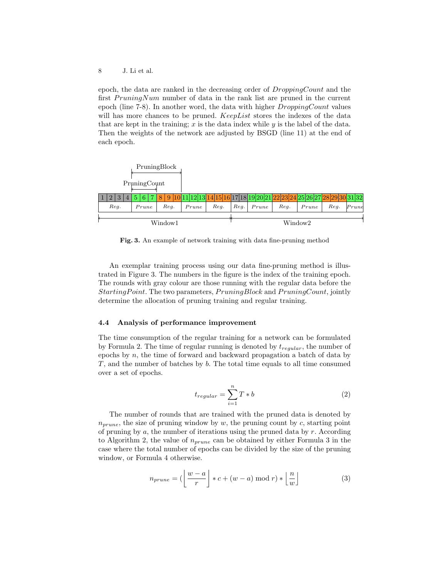epoch, the data are ranked in the decreasing order of DroppingCount and the first  $PrimaryNum$  number of data in the rank list are pruned in the current epoch (line 7-8). In another word, the data with higher  $DroppingCount$  values will has more chances to be pruned. *KeepList* stores the indexes of the data that are kept in the training;  $x$  is the data index while  $y$  is the label of the data. Then the weights of the network are adjusted by BSGD (line 11) at the end of each epoch.



Fig. 3. An example of network training with data fine-pruning method

An exemplar training process using our data fine-pruning method is illustrated in Figure 3. The numbers in the figure is the index of the training epoch. The rounds with gray colour are those running with the regular data before the  $Starting Point. The two parameters, Pruning Block and PruningCount, jointly$ determine the allocation of pruning training and regular training.

## 4.4 Analysis of performance improvement

The time consumption of the regular training for a network can be formulated by Formula 2. The time of regular running is denoted by  $t_{regular}$ , the number of epochs by  $n$ , the time of forward and backward propagation a batch of data by T, and the number of batches by b. The total time equals to all time consumed over a set of epochs.

$$
t_{regular} = \sum_{i=1}^{n} T * b
$$
 (2)

The number of rounds that are trained with the pruned data is denoted by  $n_{prune}$ , the size of pruning window by w, the pruning count by c, starting point of pruning by  $a$ , the number of iterations using the pruned data by  $r$ . According to Algorithm 2, the value of  $n_{prune}$  can be obtained by either Formula 3 in the case where the total number of epochs can be divided by the size of the pruning window, or Formula 4 otherwise.

$$
n_{prune} = \left(\left\lfloor \frac{w-a}{r} \right\rfloor * c + (w-a) \bmod r \right) * \left\lfloor \frac{n}{w} \right\rfloor \tag{3}
$$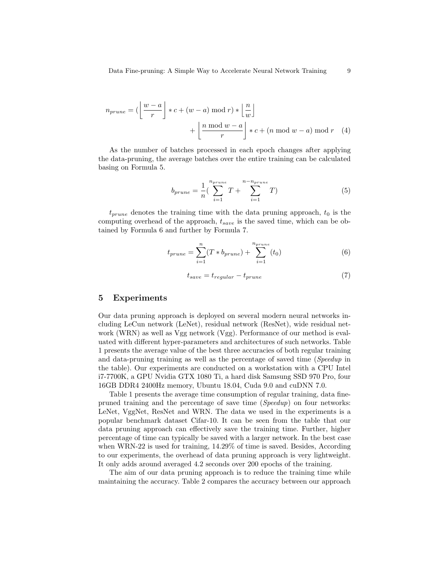$$
n_{prune} = \left(\left\lfloor \frac{w-a}{r} \right\rfloor * c + (w-a) \mod r\right) * \left\lfloor \frac{n}{w} \right\rfloor + \left\lfloor \frac{n \mod w - a}{r} \right\rfloor * c + (n \mod w - a) \mod r \quad (4)
$$

As the number of batches processed in each epoch changes after applying the data-pruning, the average batches over the entire training can be calculated basing on Formula 5.

$$
b_{prune} = \frac{1}{n} \left( \sum_{i=1}^{n_{prune}} T + \sum_{i=1}^{n-n_{prune}} T \right)
$$
 (5)

 $t_{prune}$  denotes the training time with the data pruning approach,  $t_0$  is the computing overhead of the approach,  $t_{save}$  is the saved time, which can be obtained by Formula 6 and further by Formula 7.

$$
t_{prune} = \sum_{i=1}^{n} (T * b_{prune}) + \sum_{i=1}^{n_{prune}} (t_0)
$$
 (6)

$$
t_{save} = t_{regular} - t_{prune} \tag{7}
$$

## 5 Experiments

Our data pruning approach is deployed on several modern neural networks including LeCun network (LeNet), residual network (ResNet), wide residual network (WRN) as well as Vgg network (Vgg). Performance of our method is evaluated with different hyper-parameters and architectures of such networks. Table 1 presents the average value of the best three accuracies of both regular training and data-pruning training as well as the percentage of saved time (Speedup in the table). Our experiments are conducted on a workstation with a CPU Intel i7-7700K, a GPU Nvidia GTX 1080 Ti, a hard disk Samsung SSD 970 Pro, four 16GB DDR4 2400Hz memory, Ubuntu 18.04, Cuda 9.0 and cuDNN 7.0.

Table 1 presents the average time consumption of regular training, data finepruned training and the percentage of save time ( $Speedup$ ) on four networks: LeNet, VggNet, ResNet and WRN. The data we used in the experiments is a popular benchmark dataset Cifar-10. It can be seen from the table that our data pruning approach can effectively save the training time. Further, higher percentage of time can typically be saved with a larger network. In the best case when WRN-22 is used for training, 14.29% of time is saved. Besides, According to our experiments, the overhead of data pruning approach is very lightweight. It only adds around averaged 4.2 seconds over 200 epochs of the training.

The aim of our data pruning approach is to reduce the training time while maintaining the accuracy. Table 2 compares the accuracy between our approach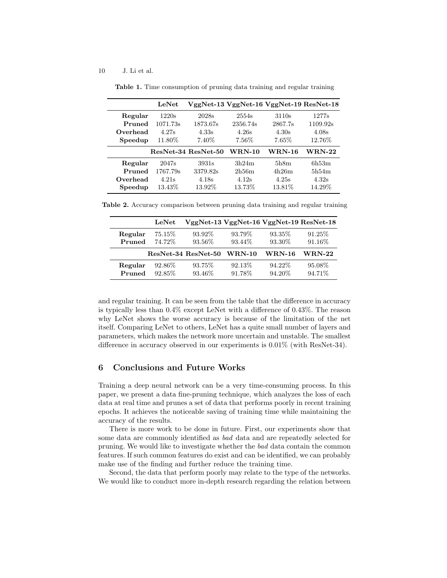|          | LeNet    |                     | VggNet-13 VggNet-16 VggNet-19 ResNet-18 |          |          |
|----------|----------|---------------------|-----------------------------------------|----------|----------|
| Regular  | 1220s    | 2028s               | 2554s                                   | 3110s    | 1277s    |
| Pruned   | 1071.73s | 1873.67s            | 2356.74s                                | 2867.7s  | 1109.92s |
| Overhead | 4.27s    | 4.33s               | 4.26s                                   | 4.30s    | 4.08s    |
| Speedup  | 11.80%   | 7.40\%              | 7.56%                                   | 7.65%    | 12.76%   |
|          |          | ResNet-34 ResNet-50 | $WRN-10$                                | $WRN-16$ | $WRN-22$ |
| Regular  | 2047s    | 3931s               | 3h24m                                   | 5h8m     | 6h53m    |
| Pruned   | 1767.79s | 3379.82s            | 2h56m                                   | 4h26m    | 5h54m    |
| Overhead | 4.21s    | 4.18s               | 4.12s                                   | 4.25s    | 4.32s    |
| Speedup  | 13.43\%  | 13.92%              | 13.73%                                  | 13.81\%  | 14.29%   |

Table 1. Time consumption of pruning data training and regular training

Table 2. Accuracy comparison between pruning data training and regular training

|         | LeNet   |                     | VggNet-13 VggNet-16 VggNet-19 ResNet-18 |          |          |
|---------|---------|---------------------|-----------------------------------------|----------|----------|
| Regular | 75.15\% | 93.92\%             | 93.79%                                  | 93.35%   | 91.25\%  |
| Pruned  | 74.72%  | 93.56%              | 93.44\%                                 | 93.30\%  | 91.16\%  |
|         |         | ResNet-34 ResNet-50 | $WRN-10$                                | $WRN-16$ | $WRN-22$ |
| Regular | 92.86\% | 93.75\%             | 92.13\%                                 | 94.22%   | 95.08%   |
| Pruned  | 92.85%  | 93.46%              | 91.78%                                  | 94.20%   | 94.71%   |

and regular training. It can be seen from the table that the difference in accuracy is typically less than 0.4% except LeNet with a difference of 0.43%. The reason why LeNet shows the worse accuracy is because of the limitation of the net itself. Comparing LeNet to others, LeNet has a quite small number of layers and parameters, which makes the network more uncertain and unstable. The smallest difference in accuracy observed in our experiments is 0.01% (with ResNet-34).

## 6 Conclusions and Future Works

Training a deep neural network can be a very time-consuming process. In this paper, we present a data fine-pruning technique, which analyzes the loss of each data at real time and prunes a set of data that performs poorly in recent training epochs. It achieves the noticeable saving of training time while maintaining the accuracy of the results.

There is more work to be done in future. First, our experiments show that some data are commonly identified as bad data and are repeatedly selected for pruning. We would like to investigate whether the bad data contain the common features. If such common features do exist and can be identified, we can probably make use of the finding and further reduce the training time.

Second, the data that perform poorly may relate to the type of the networks. We would like to conduct more in-depth research regarding the relation between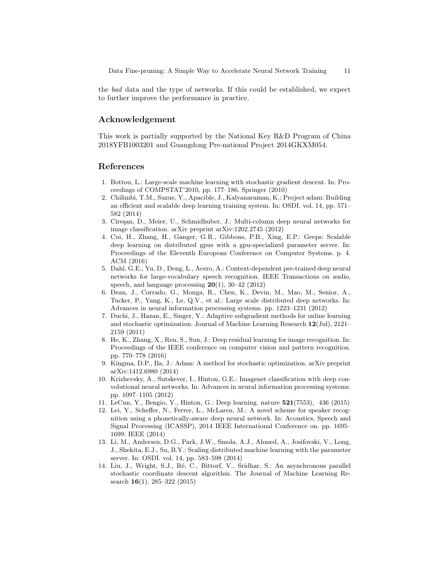the bad data and the type of networks. If this could be established, we expect to further improve the performance in practice.

## Acknowledgement

This work is partially supported by the National Key R&D Program of China 2018YFB1003201 and Guangdong Pre-national Project 2014GKXM054.

## References

- 1. Bottou, L.: Large-scale machine learning with stochastic gradient descent. In: Proceedings of COMPSTAT'2010, pp. 177–186. Springer (2010)
- 2. Chilimbi, T.M., Suzue, Y., Apacible, J., Kalyanaraman, K.: Project adam: Building an efficient and scalable deep learning training system. In: OSDI. vol. 14, pp. 571– 582 (2014)
- 3. Cireşan, D., Meier, U., Schmidhuber, J.: Multi-column deep neural networks for image classification. arXiv preprint arXiv:1202.2745 (2012)
- 4. Cui, H., Zhang, H., Ganger, G.R., Gibbons, P.B., Xing, E.P.: Geeps: Scalable deep learning on distributed gpus with a gpu-specialized parameter server. In: Proceedings of the Eleventh European Conference on Computer Systems. p. 4. ACM (2016)
- 5. Dahl, G.E., Yu, D., Deng, L., Acero, A.: Context-dependent pre-trained deep neural networks for large-vocabulary speech recognition. IEEE Transactions on audio, speech, and language processing  $20(1)$ , 30–42 (2012)
- 6. Dean, J., Corrado, G., Monga, R., Chen, K., Devin, M., Mao, M., Senior, A., Tucker, P., Yang, K., Le, Q.V., et al.: Large scale distributed deep networks. In: Advances in neural information processing systems. pp. 1223–1231 (2012)
- 7. Duchi, J., Hazan, E., Singer, Y.: Adaptive subgradient methods for online learning and stochastic optimization. Journal of Machine Learning Research 12(Jul), 2121– 2159 (2011)
- 8. He, K., Zhang, X., Ren, S., Sun, J.: Deep residual learning for image recognition. In: Proceedings of the IEEE conference on computer vision and pattern recognition. pp. 770–778 (2016)
- 9. Kingma, D.P., Ba, J.: Adam: A method for stochastic optimization. arXiv preprint arXiv:1412.6980 (2014)
- 10. Krizhevsky, A., Sutskever, I., Hinton, G.E.: Imagenet classification with deep convolutional neural networks. In: Advances in neural information processing systems. pp. 1097–1105 (2012)
- 11. LeCun, Y., Bengio, Y., Hinton, G.: Deep learning. nature 521(7553), 436 (2015)
- 12. Lei, Y., Scheffer, N., Ferrer, L., McLaren, M.: A novel scheme for speaker recognition using a phonetically-aware deep neural network. In: Acoustics, Speech and Signal Processing (ICASSP), 2014 IEEE International Conference on. pp. 1695– 1699. IEEE (2014)
- 13. Li, M., Andersen, D.G., Park, J.W., Smola, A.J., Ahmed, A., Josifovski, V., Long, J., Shekita, E.J., Su, B.Y.: Scaling distributed machine learning with the parameter server. In: OSDI. vol. 14, pp. 583–598 (2014)
- 14. Liu, J., Wright, S.J., Ré, C., Bittorf, V., Sridhar, S.: An asynchronous parallel stochastic coordinate descent algorithm. The Journal of Machine Learning Research 16(1), 285–322 (2015)